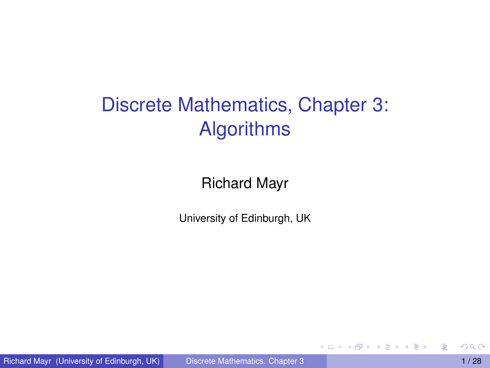# Discrete Mathematics, Chapter 3: Algorithms

Richard Mayr

University of Edinburgh, UK

4 0 8 1

 $\mathcal{A}$   $\overline{\mathcal{B}}$   $\rightarrow$   $\mathcal{A}$   $\overline{\mathcal{B}}$   $\rightarrow$   $\mathcal{A}$   $\overline{\mathcal{B}}$   $\rightarrow$ 

<span id="page-0-0"></span>Þ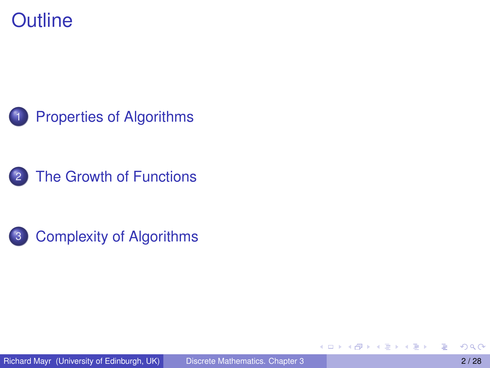#### **Outline**







<span id="page-1-0"></span>Þ

4 0 8

 $\leftarrow$   $\leftarrow$   $\leftarrow$ 

**REPAREM**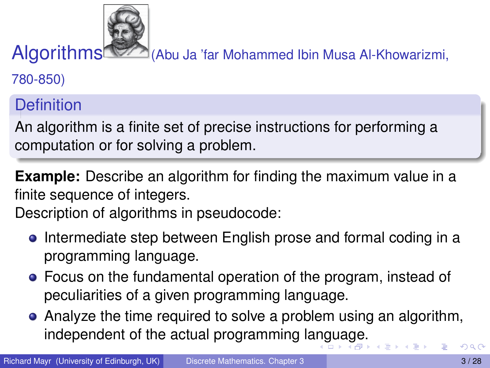Algorithms (Abu Ja 'far Mohammed Ibin Musa Al-Khowarizmi,

780-850)

**Definition** 

An algorithm is a finite set of precise instructions for performing a computation or for solving a problem.

**Example:** Describe an algorithm for finding the maximum value in a finite sequence of integers.

Description of algorithms in pseudocode:

- **•** Intermediate step between English prose and formal coding in a programming language.
- Focus on the fundamental operation of the program, instead of peculiarities of a given programming language.
- <span id="page-2-0"></span>Analyze the time required to solve a problem using an algorithm, independent of the actual programming la[ng](#page-1-0)[ua](#page-3-0)[ge](#page-2-0)[.](#page-3-0)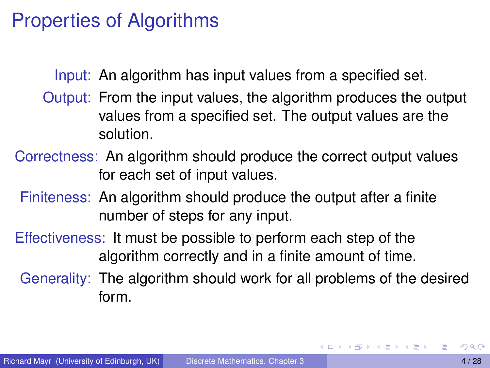#### Properties of Algorithms

Input: An algorithm has input values from a specified set.

- Output: From the input values, the algorithm produces the output values from a specified set. The output values are the solution.
- Correctness: An algorithm should produce the correct output values for each set of input values.
- Finiteness: An algorithm should produce the output after a finite number of steps for any input.
- Effectiveness: It must be possible to perform each step of the algorithm correctly and in a finite amount of time.
	- Generality: The algorithm should work for all problems of the desired form.

<span id="page-3-0"></span>в

4 0 8 4 6 8 4 9 8 4 9 8 1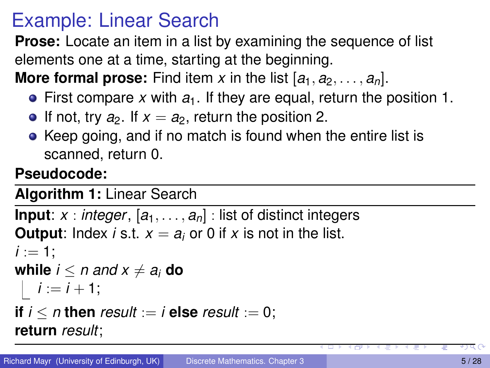### Example: Linear Search

**Prose:** Locate an item in a list by examining the sequence of list elements one at a time, starting at the beginning. **More formal prose:** Find item x in the list  $[a_1, a_2, \ldots, a_n]$ .

- First compare *x* with *a*1. If they are equal, return the position 1.
- If not, try  $a_2$ . If  $x = a_2$ , return the position 2.
- Keep going, and if no match is found when the entire list is scanned, return 0.

#### **Pseudocode:**

#### **Algorithm 1:** Linear Search

```
Input: x : integer, [a_1, \ldots, a_n] : list of distinct integers
Output: Index i s.t. x = a_i or 0 if x is not in the list.
:
while i < n and x \neq a_i do
 i := i + 1;if i < n then result := i else result := 0;
return result;
```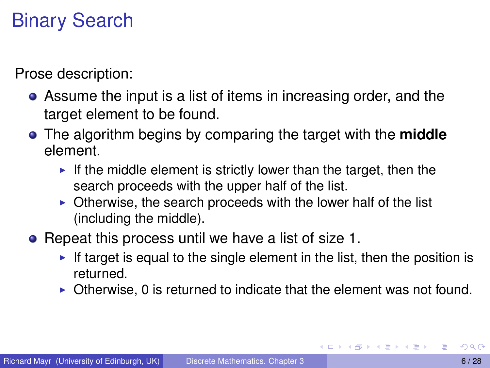# Binary Search

Prose description:

- Assume the input is a list of items in increasing order, and the target element to be found.
- The algorithm begins by comparing the target with the **middle** element.
	- If the middle element is strictly lower than the target, then the search proceeds with the upper half of the list.
	- $\triangleright$  Otherwise, the search proceeds with the lower half of the list (including the middle).
- Repeat this process until we have a list of size 1.
	- If target is equal to the single element in the list, then the position is returned.
	- $\triangleright$  Otherwise, 0 is returned to indicate that the element was not found.

4 0 8 4 6 8 4 9 8 4 9 8 1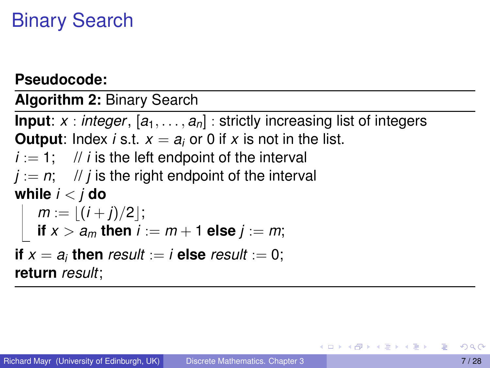# Binary Search

#### **Pseudocode:**

**Algorithm 2:** Binary Search

**Input**:  $x : integer, [a_1, \ldots, a_n] :$  strictly increasing list of integers **Output**: Index *i* s.t.  $x = a_i$  or 0 if *x* is not in the list.  $i := 1$ ; // *i* is the left endpoint of the interval  $j := n$ ; // *j* is the right endpoint of the interval **while** *i* < *j* **do**  $m := \lfloor (i + j)/2 \rfloor;$ **if**  $x > a_m$  then  $i := m + 1$  else  $j := m$ ; **if**  $x = a_i$  **then** result := *i* **else** result := 0; **return** *result*;

<span id="page-6-0"></span>( ロ ) ( 何 ) ( ヨ ) ( ヨ ) (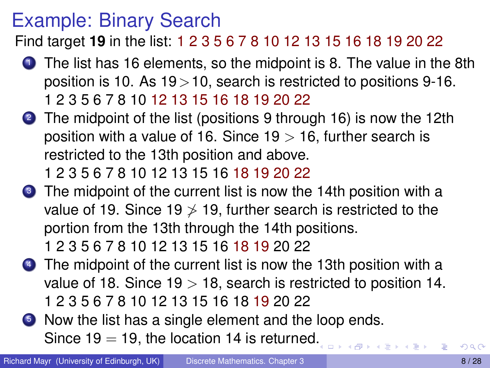#### Example: Binary Search

Find target **19** in the list: 1 2 3 5 6 7 8 10 12 13 15 16 18 19 20 22

- **1** The list has 16 elements, so the midpoint is 8. The value in the 8th position is 10. As  $19 > 10$ , search is restricted to positions 9-16. 1 2 3 5 6 7 8 10 12 13 15 16 18 19 20 22
- 2 The midpoint of the list (positions 9 through 16) is now the 12th position with a value of 16. Since  $19 > 16$ , further search is restricted to the 13th position and above.

1 2 3 5 6 7 8 10 12 13 15 16 18 19 20 22

**3** The midpoint of the current list is now the 14th position with a value of 19. Since 19  $\ge$  19, further search is restricted to the portion from the 13th through the 14th positions.

1 2 3 5 6 7 8 10 12 13 15 16 18 19 20 22

- **4** The midpoint of the current list is now the 13th position with a value of 18. Since  $19 > 18$ , search is restricted to position 14. 1 2 3 5 6 7 8 10 12 13 15 16 18 19 20 22
- **5** Now the list has a single element and the loop ends. Since 19 = 19, the location 14 is returned[.](#page-6-0)

 $\mathbb{D}^{\mathbb{C}}\left( \mathbb{R}^{n}\right) \longrightarrow\mathbb{D}^{\mathbb{C}}$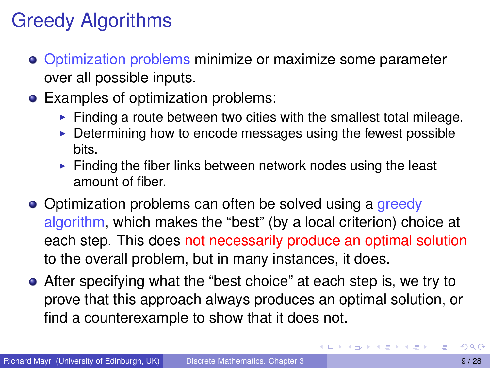# Greedy Algorithms

- Optimization problems minimize or maximize some parameter over all possible inputs.
- Examples of optimization problems:
	- $\blacktriangleright$  Finding a route between two cities with the smallest total mileage.
	- $\triangleright$  Determining how to encode messages using the fewest possible bits.
	- $\triangleright$  Finding the fiber links between network nodes using the least amount of fiber.
- Optimization problems can often be solved using a greedy algorithm, which makes the "best" (by a local criterion) choice at each step. This does not necessarily produce an optimal solution to the overall problem, but in many instances, it does.
- After specifying what the "best choice" at each step is, we try to prove that this approach always produces an optimal solution, or find a counterexample to show that it does not.

 $\equiv$ 

イロト イ押 トイラ トイラトー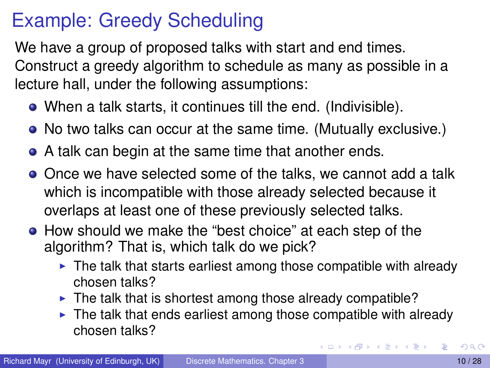### Example: Greedy Scheduling

We have a group of proposed talks with start and end times. Construct a greedy algorithm to schedule as many as possible in a lecture hall, under the following assumptions:

- When a talk starts, it continues till the end. (Indivisible).
- No two talks can occur at the same time. (Mutually exclusive.)
- A talk can begin at the same time that another ends.
- Once we have selected some of the talks, we cannot add a talk which is incompatible with those already selected because it overlaps at least one of these previously selected talks.
- How should we make the "best choice" at each step of the algorithm? That is, which talk do we pick?
	- $\triangleright$  The talk that starts earliest among those compatible with already chosen talks?
	- $\blacktriangleright$  The talk that is shortest among those already compatible?
	- $\triangleright$  The talk that ends earliest among those compatible with already chosen talks?

 $(0,1)$   $(0,1)$   $(0,1)$   $(1,1)$   $(1,1)$   $(1,1)$   $(1,1)$   $(1,1)$   $(1,1)$   $(1,1)$   $(1,1)$   $(1,1)$   $(1,1)$   $(1,1)$   $(1,1)$   $(1,1)$   $(1,1)$   $(1,1)$   $(1,1)$   $(1,1)$   $(1,1)$   $(1,1)$   $(1,1)$   $(1,1)$   $(1,1)$   $(1,1)$   $(1,1)$   $(1,1$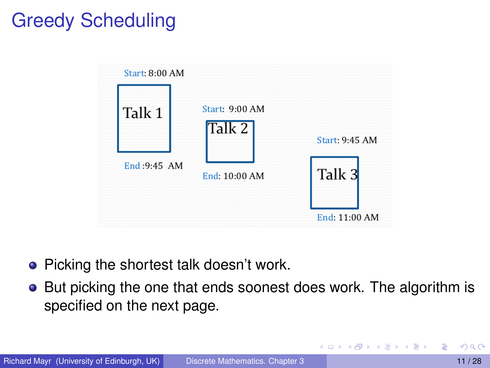# Greedy Scheduling



- Picking the shortest talk doesn't work.
- But picking the one that ends soonest does work. The algorithm is specified on the next page.

Þ

イロト イ押ト イヨト イヨト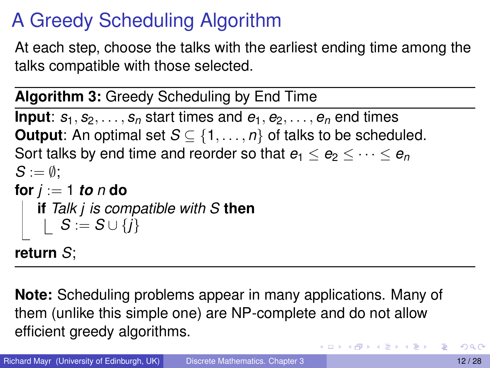# A Greedy Scheduling Algorithm

At each step, choose the talks with the earliest ending time among the talks compatible with those selected.

**Algorithm 3:** Greedy Scheduling by End Time

**Input**:  $s_1, s_2, \ldots, s_n$  start times and  $e_1, e_2, \ldots, e_n$  end times **Output:** An optimal set  $S \subseteq \{1, \ldots, n\}$  of talks to be scheduled. Sort talks by end time and reorder so that  $e_1 \leq e_2 \leq \cdots \leq e_n$  $S := \emptyset$ : **for** *j* := 1 *to n* **do if** *Talk j is compatible with S* **then**  $S := S \cup \{j\}$ 

**return** *S*;

**Note:** Scheduling problems appear in many applications. Many of them (unlike this simple one) are NP-complete and do not allow efficient greedy algorithms.

в

イロト イ押 トイラ トイラトー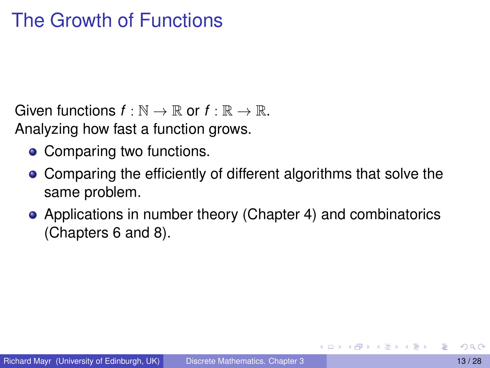### The Growth of Functions

Given functions  $f : \mathbb{N} \to \mathbb{R}$  or  $f : \mathbb{R} \to \mathbb{R}$ . Analyzing how fast a function grows.

- Comparing two functions.
- Comparing the efficiently of different algorithms that solve the same problem.
- Applications in number theory (Chapter 4) and combinatorics (Chapters 6 and 8).

<span id="page-12-0"></span>**REPAREM**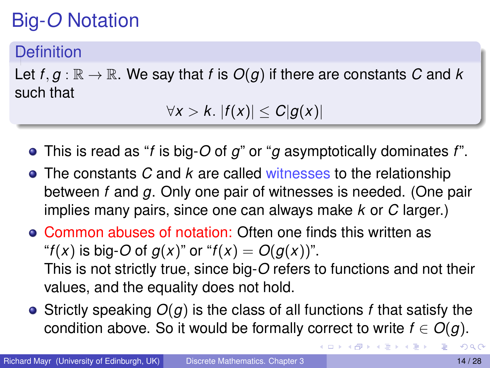# Big-*O* Notation

#### **Definition**

Let  $f, g : \mathbb{R} \to \mathbb{R}$ . We say that *f* is  $O(g)$  if there are constants *C* and *k* such that

 $\forall x > k$ .  $|f(x)| \leq C|g(x)|$ 

- This is read as "*f* is big-*O* of *g*" or "*g* asymptotically dominates *f*".
- The constants *C* and *k* are called witnesses to the relationship between *f* and *g*. Only one pair of witnesses is needed. (One pair implies many pairs, since one can always make *k* or *C* larger.)
- Common abuses of notation: Often one finds this written as "*f*(*x*) is big-*O* of  $g(x)$ " or "*f*(*x*) =  $O(g(x))$ ". This is not strictly true, since big-*O* refers to functions and not their values, and the equality does not hold.
- Strictly speaking *O*(*g*) is the class of all functions *f* that satisfy the condition above. So it would be formally correct to write  $f \in O(g)$ .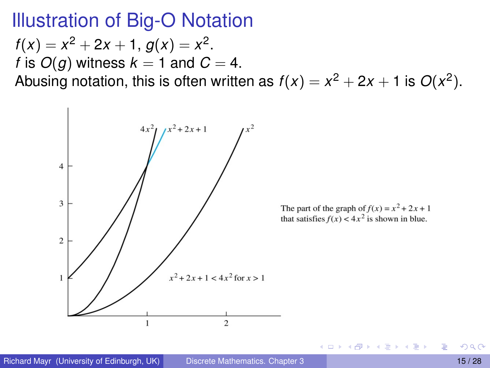#### Illustration of Big-O Notation

 $f(x) = x^2 + 2x + 1, g(x) = x^2.$ *f* is  $O(q)$  witness  $k = 1$  and  $C = 4$ . Abusing notation, this is often written as  $f(x) = x^2 + 2x + 1$  is  $O(x^2)$ .



 $\leftarrow$   $\leftarrow$   $\leftarrow$ 

 $\rightarrow$   $\equiv$   $\rightarrow$   $\rightarrow$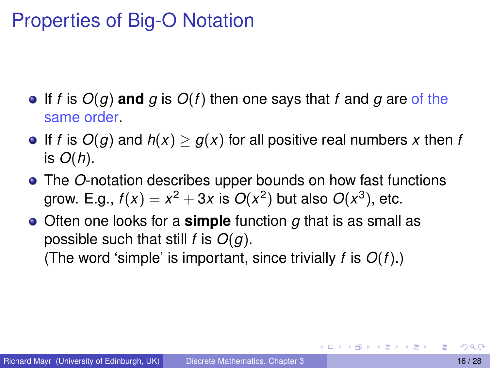### Properties of Big-O Notation

- $\bullet$  If *f* is  $O(g)$  and *g* is  $O(f)$  then one says that *f* and *g* are of the same order.
- **•** If *f* is  $O(g)$  and  $h(x) \ge g(x)$  for all positive real numbers x then *f* is *O*(*h*).
- The *O*-notation describes upper bounds on how fast functions grow. E.g.,  $f(x) = x^2 + 3x$  is  $O(x^2)$  but also  $O(x^3)$ , etc.
- Often one looks for a **simple** function *g* that is as small as possible such that still *f* is *O*(*g*). (The word 'simple' is important, since trivially *f* is *O*(*f*).)

AD - 4 B - 4 B - 1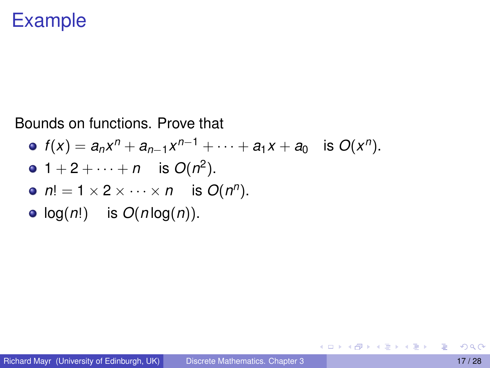#### Example

Bounds on functions. Prove that

\n- \n
$$
f(x) = a_n x^n + a_{n-1} x^{n-1} + \cdots + a_1 x + a_0
$$
\n is\n 
$$
O(x^n).
$$
\n
\n- \n
$$
1 + 2 + \cdots + n
$$
\n is\n 
$$
O(n^2).
$$
\n
\n- \n
$$
n! = 1 \times 2 \times \cdots \times n
$$
\n is\n 
$$
O(n^n).
$$
\n
\n- \n
$$
log(n!)
$$
\n is\n 
$$
O(n \log(n)).
$$
\n
\n

重

メロメメ 御 メメ きょく きょう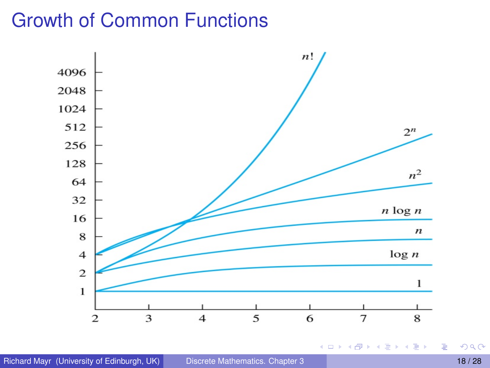### Growth of Common Functions



**COLE** 

 $4 - \frac{1}{2} + \frac{1}{2} + \frac{1}{2} + \frac{1}{2} + \frac{1}{2} + \frac{1}{2} + \frac{1}{2} + \frac{1}{2} + \frac{1}{2} + \frac{1}{2} + \frac{1}{2} + \frac{1}{2} + \frac{1}{2} + \frac{1}{2} + \frac{1}{2} + \frac{1}{2} + \frac{1}{2} + \frac{1}{2} + \frac{1}{2} + \frac{1}{2} + \frac{1}{2} + \frac{1}{2} + \frac{1}{2} + \frac{1}{2} + \frac{1}{2} + \frac{1}{2} + \frac{1}{2} + \frac$ 

경 > K 경 >

重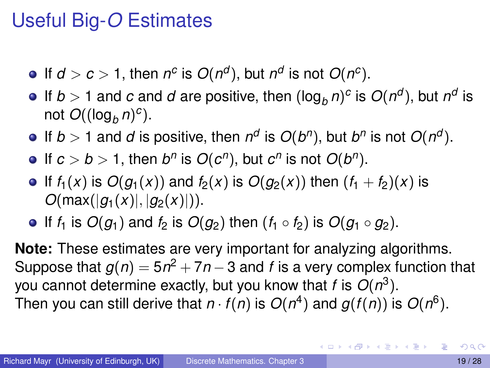### Useful Big-*O* Estimates

- If  $d > c > 1$ , then  $n^c$  is  $O(n^d)$ , but  $n^d$  is not  $O(n^c)$ .
- If  $b > 1$  and  $c$  and  $d$  are positive, then  $(\log_b n)^c$  is  $O(n^d)$ , but  $n^d$  is not  $O((\log_b n)^c)$ .
- If  $b > 1$  and *d* is positive, then  $n^d$  is  $O(b^n)$ , but  $b^n$  is not  $O(n^d)$ .
- If  $c > b > 1$ , then  $b^n$  is  $O(c^n)$ , but  $c^n$  is not  $O(b^n)$ .
- If  $f_1(x)$  is  $O(g_1(x))$  and  $f_2(x)$  is  $O(g_2(x))$  then  $(f_1 + f_2)(x)$  is  $O(max(|q_1(x)|, |q_2(x)|)).$
- If  $f_1$  is  $O(q_1)$  and  $f_2$  is  $O(q_2)$  then  $(f_1 \circ f_2)$  is  $O(q_1 \circ q_2)$ .

**Note:** These estimates are very important for analyzing algorithms. Suppose that  $g(n) = 5n^2 + 7n - 3$  and  $f$  is a very complex function that you cannot determine exactly, but you know that *f* is *O*(*n* 3 ). Then you can still derive that  $n \cdot f(n)$  is  $O(n^4)$  and  $g(f(n))$  is  $O(n^6)$ .

G.

イロト イ押ト イヨト イヨト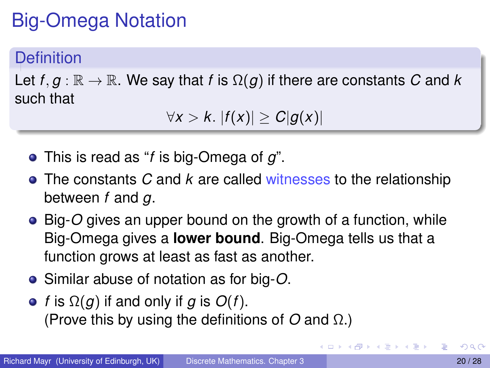# Big-Omega Notation

#### **Definition**

Let  $f, g : \mathbb{R} \to \mathbb{R}$ . We say that *f* is  $\Omega(g)$  if there are constants *C* and *k* such that

∀*x* > *k*. |*f*(*x*)| ≥ *C*|*g*(*x*)|

- This is read as "*f* is big-Omega of *g*".
- The constants *C* and *k* are called witnesses to the relationship between *f* and *g*.
- Big-*O* gives an upper bound on the growth of a function, while Big-Omega gives a **lower bound**. Big-Omega tells us that a function grows at least as fast as another.
- Similar abuse of notation as for big-*O*.
- $\bullet$  *f* is  $\Omega(q)$  if and only if *g* is  $O(f)$ . (Prove this by using the definitions of *O* and Ω.)

 $\mathcal{A}$   $\overline{\mathcal{B}}$   $\rightarrow$   $\mathcal{A}$   $\overline{\mathcal{B}}$   $\rightarrow$   $\mathcal{A}$   $\overline{\mathcal{B}}$   $\rightarrow$   $\mathcal{B}$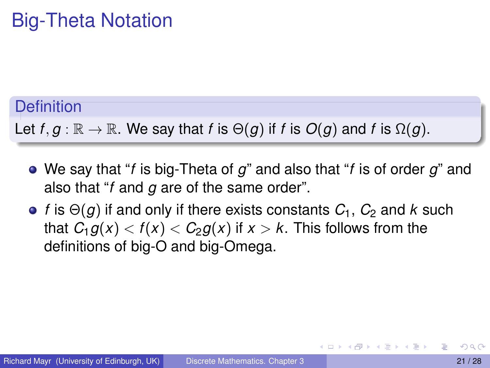### Big-Theta Notation

#### **Definition**

Let  $f, g : \mathbb{R} \to \mathbb{R}$ . We say that *f* is  $\Theta(g)$  if *f* is  $O(g)$  and *f* is  $\Omega(g)$ .

- We say that "*f* is big-Theta of *g*" and also that "*f* is of order *g*" and also that "*f* and *g* are of the same order".
- *f* is  $\Theta$ (*g*) if and only if there exists constants  $C_1$ ,  $C_2$  and *k* such that  $C_1 g(x) < f(x) < C_2 g(x)$  if  $x > k$ . This follows from the definitions of big-O and big-Omega.

AD > 4 B > 4 B >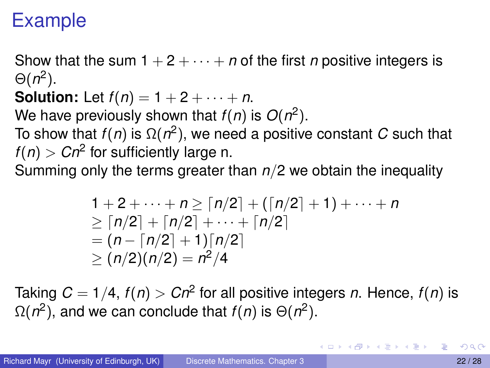### Example

Show that the sum  $1 + 2 + \cdots + n$  of the first *n* positive integers is  $\Theta(n^2)$ .

**Solution:** Let  $f(n) = 1 + 2 + \cdots + n$ .

We have previously shown that  $f(n)$  is  $O(n^2)$ .

To show that *f*(*n*) is Ω(*n* 2 ), we need a positive constant *C* such that  $f(n) > Cn^2$  for sufficiently large n.

Summing only the terms greater than *n*/2 we obtain the inequality

$$
1 + 2 + \cdots + n \ge \lceil n/2 \rceil + \lceil n/2 \rceil + 1 \rceil + \cdots + n
$$
  
\n
$$
\ge \lceil n/2 \rceil + \lceil n/2 \rceil + \cdots + \lceil n/2 \rceil
$$
  
\n
$$
= (n - \lceil n/2 \rceil + 1) \lceil n/2 \rceil
$$
  
\n
$$
\ge (n/2)(n/2) = n^2/4
$$

Taking  $C = 1/4$ ,  $f(n) > Cn^2$  for all positive integers *n*. Hence,  $f(n)$  is  $Ω(n²)$ , and we can conclude that *f*(*n*) is  $Θ(n²)$ .

<span id="page-21-0"></span>в

イロト イ押 トイラ トイラトー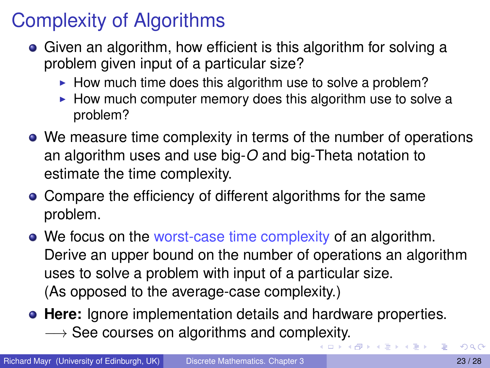## Complexity of Algorithms

- Given an algorithm, how efficient is this algorithm for solving a problem given input of a particular size?
	- $\blacktriangleright$  How much time does this algorithm use to solve a problem?
	- $\blacktriangleright$  How much computer memory does this algorithm use to solve a problem?
- We measure time complexity in terms of the number of operations an algorithm uses and use big-*O* and big-Theta notation to estimate the time complexity.
- Compare the efficiency of different algorithms for the same problem.
- We focus on the worst-case time complexity of an algorithm. Derive an upper bound on the number of operations an algorithm uses to solve a problem with input of a particular size. (As opposed to the average-case complexity.)
- **Here:** Ignore implementation details and hardware properties.  $\rightarrow$  See courses on algorithms and comp[lex](#page-21-0)[ity](#page-23-0)[.](#page-21-0)

<span id="page-22-0"></span> $\mathcal{A}$   $\overline{\mathcal{B}}$   $\rightarrow$   $\mathcal{A}$   $\overline{\mathcal{B}}$   $\rightarrow$   $\mathcal{A}$   $\overline{\mathcal{B}}$   $\rightarrow$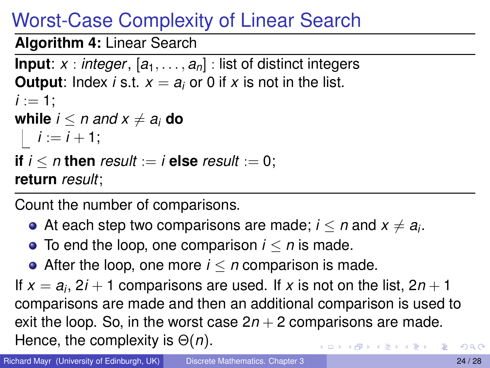# Worst-Case Complexity of Linear Search

**Algorithm 4:** Linear Search

```
Input: x : integer, [a_1, \ldots, a_n] : list of distinct integers
Output: Index i s.t. x = a_i or 0 if x is not in the list.
i := 1:
while i < n and x \neq a_i do
i := i + 1;if i < n then result := i else result := 0;
return result;
```
Count the number of comparisons.

- At each step two comparisons are made;  $i\leq n$  and  $x\neq a_i.$
- $\bullet$  To end the loop, one comparison  $i \leq n$  is made.
- <span id="page-23-0"></span>After the loop, one more *i* ≤ *n* comparison is made.

If  $x = a_i$ ,  $2i + 1$  comparisons are used. If x is not on the list,  $2n + 1$ comparisons are made and then an additional comparison is used to exit the loop. So, in the worst case  $2n + 2$  comparisons are made. Hence, the complexity is Θ(*n*).  $(0.5, 0.6)$   $(0.5, 0.7)$  $\Omega$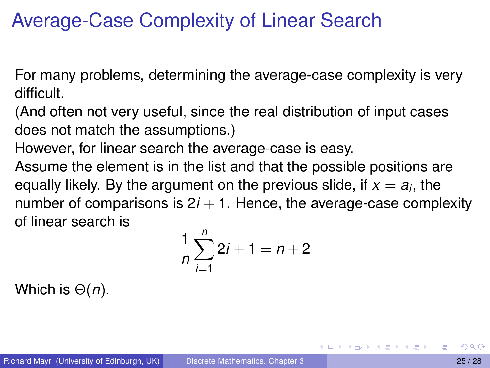#### Average-Case Complexity of Linear Search

For many problems, determining the average-case complexity is very difficult.

(And often not very useful, since the real distribution of input cases does not match the assumptions.)

However, for linear search the average-case is easy.

Assume the element is in the list and that the possible positions are equally likely. By the argument on the previous slide, if  $x = a_i$ , the number of comparisons is  $2*i* + 1$ . Hence, the average-case complexity of linear search is

$$
\frac{1}{n}\sum_{i=1}^{n} 2i + 1 = n + 2
$$

Which is Θ(*n*).

<span id="page-24-0"></span>4 何 ト 4 ヨ ト 4 ヨ トー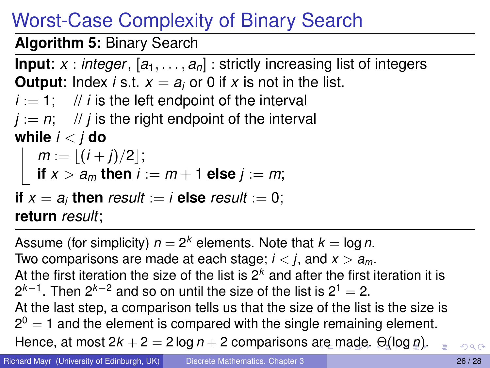# Worst-Case Complexity of Binary Search

**Algorithm 5:** Binary Search

**Input**:  $x : \text{integer}, [a_1, \ldots, a_n] : \text{strictly increasing list of integers}$ **Output**: Index *i* s.t.  $x = a_i$  or 0 if *x* is not in the list.  $i := 1$ ; // *i* is the left endpoint of the interval  $j := n$ ; // *j* is the right endpoint of the interval **while** *i* < *j* **do**  $m := \lfloor (i+j)/2 \rfloor;$ **if**  $x > a_m$  then  $i := m + 1$  else  $j := m$ ;

**if**  $x = a_i$  **then** result := *i* **else** result := 0; **return** *result*;

<span id="page-25-0"></span>Assume (for simplicity)  $n = 2^k$  elements. Note that  $k = \log n$ . Two comparisons are made at each stage;  $i < j$ , and  $x > a_m$ . At the first iteration the size of the list is  $2<sup>k</sup>$  and after the first iteration it is 2<sup>k−1</sup>. Then 2<sup>k−2</sup> and so on until the size of the list is 2<sup>1</sup> = 2. At the last step, a comparison tells us that the size of the list is the size is  $2^{0} = 1$  and the element is compared with the single remaining element. Hence, at [m](#page-26-0)ost  $2k + 2 = 2 \log n + 2$  $2k + 2 = 2 \log n + 2$  $2k + 2 = 2 \log n + 2$  $2k + 2 = 2 \log n + 2$  $2k + 2 = 2 \log n + 2$  $2k + 2 = 2 \log n + 2$  comparisons [are](#page-24-0) m[a](#page-24-0)[de](#page-25-0)[.](#page-26-0)  $\Theta(\log n)$  $\Theta(\log n)$  $\Theta(\log n)$  $\Theta(\log n)$ .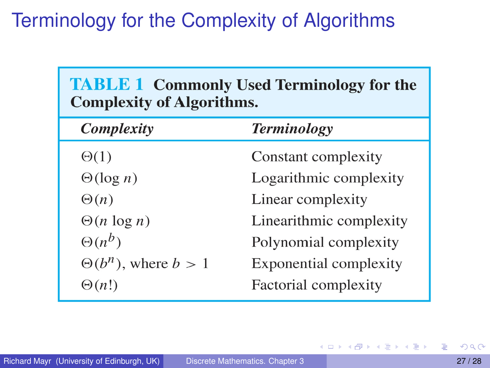### Terminology for the Complexity of Algorithms

| <b>TABLE 1 Commonly Used Terminology for the</b><br><b>Complexity of Algorithms.</b> |                               |
|--------------------------------------------------------------------------------------|-------------------------------|
| <b>Complexity</b>                                                                    | <b>Terminology</b>            |
| $\Theta(1)$                                                                          | Constant complexity           |
| $\Theta(\log n)$                                                                     | Logarithmic complexity        |
| $\Theta(n)$                                                                          | Linear complexity             |
| $\Theta(n \log n)$                                                                   | Linearithmic complexity       |
| $\Theta(n^b)$                                                                        | Polynomial complexity         |
| $\Theta(b^n)$ , where $b > 1$                                                        | <b>Exponential complexity</b> |
| $\Theta(n!)$                                                                         | Factorial complexity          |

<span id="page-26-0"></span>活

メロトメ 御 トメ 君 トメ 君 ト